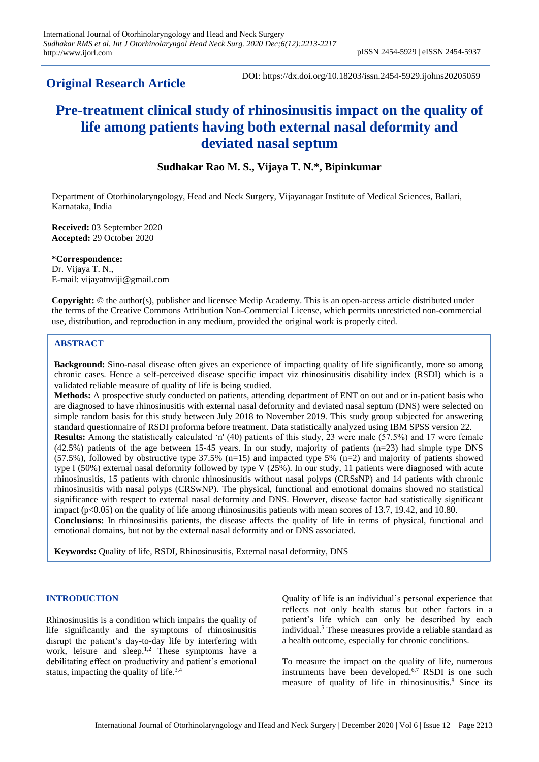**Original Research Article**

DOI: https://dx.doi.org/10.18203/issn.2454-5929.ijohns20205059

# **Pre-treatment clinical study of rhinosinusitis impact on the quality of life among patients having both external nasal deformity and deviated nasal septum**

# **Sudhakar Rao M. S., Vijaya T. N.\*, Bipinkumar**

Department of Otorhinolaryngology, Head and Neck Surgery, Vijayanagar Institute of Medical Sciences, Ballari, Karnataka, India

**Received:** 03 September 2020 **Accepted:** 29 October 2020

**\*Correspondence:** Dr. Vijaya T. N., E-mail: vijayatnviji@gmail.com

**Copyright:** © the author(s), publisher and licensee Medip Academy. This is an open-access article distributed under the terms of the Creative Commons Attribution Non-Commercial License, which permits unrestricted non-commercial use, distribution, and reproduction in any medium, provided the original work is properly cited.

#### **ABSTRACT**

**Background:** Sino-nasal disease often gives an experience of impacting quality of life significantly, more so among chronic cases. Hence a self-perceived disease specific impact viz rhinosinusitis disability index (RSDI) which is a validated reliable measure of quality of life is being studied.

**Methods:** A prospective study conducted on patients, attending department of ENT on out and or in-patient basis who are diagnosed to have rhinosinusitis with external nasal deformity and deviated nasal septum (DNS) were selected on simple random basis for this study between July 2018 to November 2019. This study group subjected for answering standard questionnaire of RSDI proforma before treatment. Data statistically analyzed using IBM SPSS version 22. **Results:** Among the statistically calculated 'n' (40) patients of this study, 23 were male (57.5%) and 17 were female (42.5%) patients of the age between 15-45 years. In our study, majority of patients (n=23) had simple type DNS (57.5%), followed by obstructive type 37.5% (n=15) and impacted type 5% (n=2) and majority of patients showed type I (50%) external nasal deformity followed by type V (25%). In our study, 11 patients were diagnosed with acute rhinosinusitis, 15 patients with chronic rhinosinusitis without nasal polyps (CRSsNP) and 14 patients with chronic rhinosinusitis with nasal polyps (CRSwNP). The physical, functional and emotional domains showed no statistical significance with respect to external nasal deformity and DNS. However, disease factor had statistically significant impact ( $p<0.05$ ) on the quality of life among rhinosinusitis patients with mean scores of 13.7, 19.42, and 10.80. **Conclusions:** In rhinosinusitis patients, the disease affects the quality of life in terms of physical, functional and emotional domains, but not by the external nasal deformity and or DNS associated.

**Keywords:** Quality of life, RSDI, Rhinosinusitis, External nasal deformity, DNS

#### **INTRODUCTION**

Rhinosinusitis is a condition which impairs the quality of life significantly and the symptoms of rhinosinusitis disrupt the patient's day-to-day life by interfering with work, leisure and sleep.<sup>1,2</sup> These symptoms have a debilitating effect on productivity and patient's emotional status, impacting the quality of life.3,4

Quality of life is an individual's personal experience that reflects not only health status but other factors in a patient's life which can only be described by each individual.<sup>5</sup> These measures provide a reliable standard as a health outcome, especially for chronic conditions.

To measure the impact on the quality of life, numerous instruments have been developed.6,7 RSDI is one such measure of quality of life in rhinosinusitis.<sup>8</sup> Since its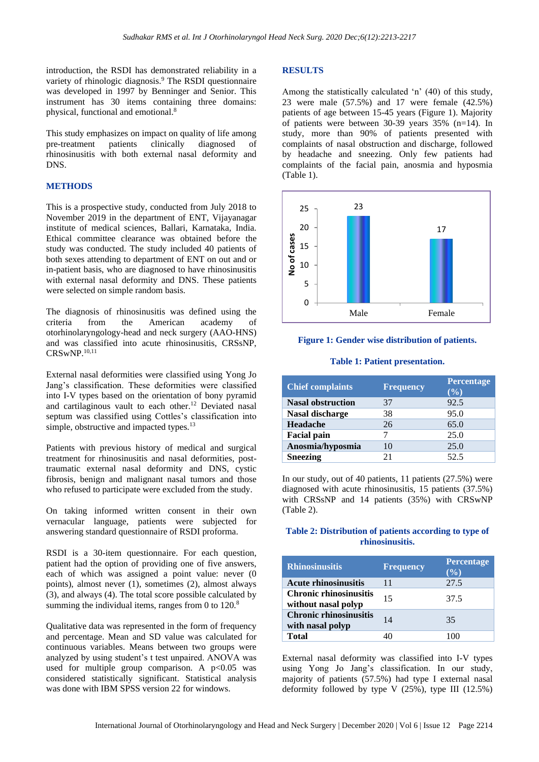introduction, the RSDI has demonstrated reliability in a variety of rhinologic diagnosis.<sup>9</sup> The RSDI questionnaire was developed in 1997 by Benninger and Senior. This instrument has 30 items containing three domains: physical, functional and emotional.<sup>8</sup>

This study emphasizes on impact on quality of life among pre-treatment patients clinically diagnosed of rhinosinusitis with both external nasal deformity and DNS.

#### **METHODS**

This is a prospective study, conducted from July 2018 to November 2019 in the department of ENT, Vijayanagar institute of medical sciences, Ballari, Karnataka, India. Ethical committee clearance was obtained before the study was conducted. The study included 40 patients of both sexes attending to department of ENT on out and or in-patient basis, who are diagnosed to have rhinosinusitis with external nasal deformity and DNS. These patients were selected on simple random basis.

The diagnosis of rhinosinusitis was defined using the criteria from the American academy of otorhinolaryngology-head and neck surgery (AAO-HNS) and was classified into acute rhinosinusitis, CRSsNP, CRSwNP.10,11

External nasal deformities were classified using Yong Jo Jang's classification. These deformities were classified into I-V types based on the orientation of bony pyramid and cartilaginous vault to each other.<sup>12</sup> Deviated nasal septum was classified using Cottles's classification into simple, obstructive and impacted types.<sup>13</sup>

Patients with previous history of medical and surgical treatment for rhinosinusitis and nasal deformities, posttraumatic external nasal deformity and DNS, cystic fibrosis, benign and malignant nasal tumors and those who refused to participate were excluded from the study.

On taking informed written consent in their own vernacular language, patients were subjected for answering standard questionnaire of RSDI proforma.

RSDI is a 30-item questionnaire. For each question, patient had the option of providing one of five answers, each of which was assigned a point value: never (0 points), almost never (1), sometimes (2), almost always (3), and always (4). The total score possible calculated by summing the individual items, ranges from 0 to  $120$ .<sup>8</sup>

Qualitative data was represented in the form of frequency and percentage. Mean and SD value was calculated for continuous variables. Means between two groups were analyzed by using student's t test unpaired. ANOVA was used for multiple group comparison. A  $p<0.05$  was considered statistically significant. Statistical analysis was done with IBM SPSS version 22 for windows.

#### **RESULTS**

Among the statistically calculated 'n' (40) of this study, 23 were male (57.5%) and 17 were female (42.5%) patients of age between 15-45 years (Figure 1). Majority of patients were between 30-39 years 35% (n=14). In study, more than 90% of patients presented with complaints of nasal obstruction and discharge, followed by headache and sneezing. Only few patients had complaints of the facial pain, anosmia and hyposmia (Table 1).



#### **Figure 1: Gender wise distribution of patients.**

#### **Table 1: Patient presentation.**

| <b>Chief complaints</b>  | <b>Frequency</b> | <b>Percentage</b><br>$(\%)$ |
|--------------------------|------------------|-----------------------------|
| <b>Nasal obstruction</b> | 37               | 92.5                        |
| Nasal discharge          | 38               | 95.0                        |
| Headache                 | 26               | 65.0                        |
| <b>Facial pain</b>       |                  | 25.0                        |
| Anosmia/hyposmia         | 10               | 25.0                        |
| <b>Sneezing</b>          | 21               | 52.5                        |

In our study, out of 40 patients, 11 patients (27.5%) were diagnosed with acute rhinosinusitis, 15 patients (37.5%) with CRSsNP and 14 patients (35%) with CRSwNP (Table 2).

#### **Table 2: Distribution of patients according to type of rhinosinusitis.**

| <b>Rhinosinusitis</b>                                | <b>Frequency</b> | Percentage<br>$($ % $)$ |
|------------------------------------------------------|------------------|-------------------------|
| <b>Acute rhinosinusitis</b>                          | 11               | 27.5                    |
| <b>Chronic rhinosinusitis</b><br>without nasal polyp | 15               | 37.5                    |
| <b>Chronic rhinosinusitis</b><br>with nasal polyp    | 14               | 35                      |
| <b>Total</b>                                         |                  | 100                     |

External nasal deformity was classified into I-V types using Yong Jo Jang's classification. In our study, majority of patients (57.5%) had type I external nasal deformity followed by type V  $(25\%)$ , type III  $(12.5\%)$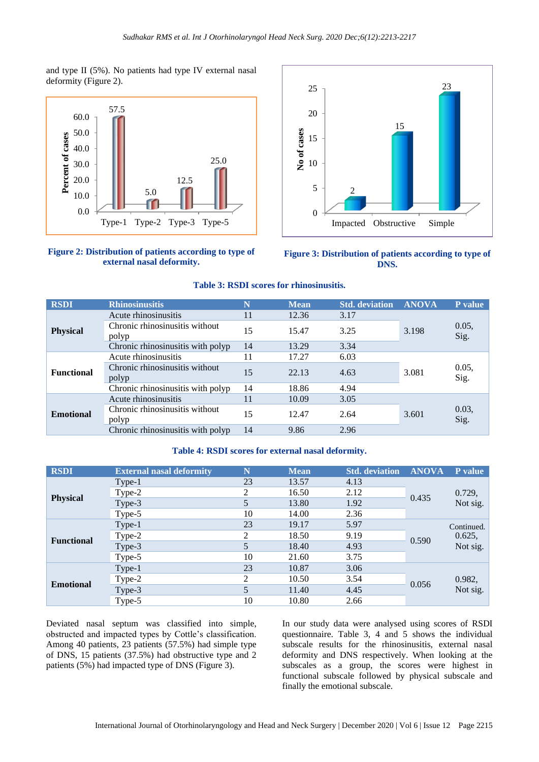and type II (5%). No patients had type IV external nasal deformity (Figure 2).



**Figure 2: Distribution of patients according to type of external nasal deformity.**





## **Table 3: RSDI scores for rhinosinusitis.**

| <b>RSDI</b>       | <b>Rhinosinusitis</b>                   | N  | <b>Mean</b> | <b>Std.</b> deviation | <b>ANOVA</b> | P value       |
|-------------------|-----------------------------------------|----|-------------|-----------------------|--------------|---------------|
| <b>Physical</b>   | Acute rhinosinusitis                    | 11 | 12.36       | 3.17                  | 3.198        | 0.05,<br>Sig. |
|                   | Chronic rhinosinusitis without<br>polyp | 15 | 15.47       | 3.25                  |              |               |
|                   | Chronic rhinosinusitis with polyp       | 14 | 13.29       | 3.34                  |              |               |
| <b>Functional</b> | Acute rhinosinusitis                    | 11 | 17.27       | 6.03                  |              | 0.05,<br>Sig. |
|                   | Chronic rhinosinusitis without<br>polyp | 15 | 22.13       | 4.63                  | 3.081        |               |
|                   | Chronic rhinosinusitis with polyp       | 14 | 18.86       | 4.94                  |              |               |
| <b>Emotional</b>  | Acute rhinosinusitis                    | 11 | 10.09       | 3.05                  | 3.601        | 0.03,<br>Sig. |
|                   | Chronic rhinosinusitis without<br>polyp | 15 | 12.47       | 2.64                  |              |               |
|                   | Chronic rhinosinusitis with polyp       | 14 | 9.86        | 2.96                  |              |               |

#### **Table 4: RSDI scores for external nasal deformity.**

| <b>RSDI</b>       | <b>External nasal deformity</b> | N  | <b>Mean</b> | <b>Std.</b> deviation | <b>ANOVA</b> | <b>P</b> value     |
|-------------------|---------------------------------|----|-------------|-----------------------|--------------|--------------------|
| <b>Physical</b>   | $Type-1$                        | 23 | 13.57       | 4.13                  | 0.435        |                    |
|                   | Type-2                          | 2  | 16.50       | 2.12                  |              | 0.729,<br>Not sig. |
|                   | Type-3                          | 5  | 13.80       | 1.92                  |              |                    |
|                   | Type-5                          | 10 | 14.00       | 2.36                  |              |                    |
| <b>Functional</b> | Type-1                          | 23 | 19.17       | 5.97                  | 0.590        | Continued.         |
|                   | Type-2                          | 2  | 18.50       | 9.19                  |              | 0.625,             |
|                   | Type-3                          | 5  | 18.40       | 4.93                  |              | Not sig.           |
|                   | Type-5                          | 10 | 21.60       | 3.75                  |              |                    |
| <b>Emotional</b>  | Type-1                          | 23 | 10.87       | 3.06                  |              |                    |
|                   | Type-2                          | 2  | 10.50       | 3.54                  |              | 0.982,<br>Not sig. |
|                   | Type-3                          | 5  | 11.40       | 4.45                  | 0.056        |                    |
|                   | Type-5                          | 10 | 10.80       | 2.66                  |              |                    |

Deviated nasal septum was classified into simple, obstructed and impacted types by Cottle's classification. Among 40 patients, 23 patients (57.5%) had simple type of DNS, 15 patients (37.5%) had obstructive type and 2 patients (5%) had impacted type of DNS (Figure 3).

In our study data were analysed using scores of RSDI questionnaire. Table 3, 4 and 5 shows the individual subscale results for the rhinosinusitis, external nasal deformity and DNS respectively. When looking at the subscales as a group, the scores were highest in functional subscale followed by physical subscale and finally the emotional subscale.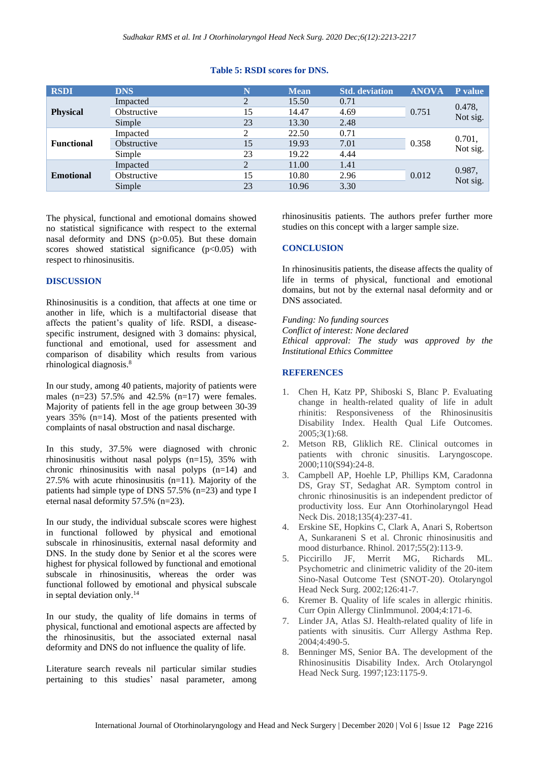#### **Table 5: RSDI scores for DNS.**

| <b>RSDI</b>       | <b>DNS</b>  | N              | <b>Mean</b> | <b>Std. deviation</b> | <b>ANOVA</b> | P value            |
|-------------------|-------------|----------------|-------------|-----------------------|--------------|--------------------|
| <b>Physical</b>   | Impacted    | C              | 15.50       | 0.71                  | 0.751        | 0.478,<br>Not sig. |
|                   | Obstructive | 15             | 14.47       | 4.69                  |              |                    |
|                   | Simple      | 23             | 13.30       | 2.48                  |              |                    |
| <b>Functional</b> | Impacted    |                | 22.50       | 0.71                  | 0.358        | 0.701,<br>Not sig. |
|                   | Obstructive | 15             | 19.93       | 7.01                  |              |                    |
|                   | Simple      | 23             | 19.22       | 4.44                  |              |                    |
| <b>Emotional</b>  | Impacted    | $\overline{c}$ | 11.00       | 1.41                  | 0.012        | 0.987,<br>Not sig. |
|                   | Obstructive | 15             | 10.80       | 2.96                  |              |                    |
|                   | Simple      | 23             | 10.96       | 3.30                  |              |                    |

The physical, functional and emotional domains showed no statistical significance with respect to the external nasal deformity and DNS (p>0.05). But these domain scores showed statistical significance  $(p<0.05)$  with respect to rhinosinusitis.

### **DISCUSSION**

Rhinosinusitis is a condition, that affects at one time or another in life, which is a multifactorial disease that affects the patient's quality of life. RSDI, a diseasespecific instrument, designed with 3 domains: physical, functional and emotional, used for assessment and comparison of disability which results from various rhinological diagnosis.<sup>8</sup>

In our study, among 40 patients, majority of patients were males  $(n=23)$  57.5% and 42.5%  $(n=17)$  were females. Majority of patients fell in the age group between 30-39 years 35% (n=14). Most of the patients presented with complaints of nasal obstruction and nasal discharge.

In this study, 37.5% were diagnosed with chronic rhinosinusitis without nasal polyps (n=15), 35% with chronic rhinosinusitis with nasal polyps (n=14) and 27.5% with acute rhinosinusitis  $(n=11)$ . Majority of the patients had simple type of DNS 57.5% (n=23) and type I eternal nasal deformity 57.5% (n=23).

In our study, the individual subscale scores were highest in functional followed by physical and emotional subscale in rhinosinusitis, external nasal deformity and DNS. In the study done by Senior et al the scores were highest for physical followed by functional and emotional subscale in rhinosinusitis, whereas the order was functional followed by emotional and physical subscale in septal deviation only.<sup>14</sup>

In our study, the quality of life domains in terms of physical, functional and emotional aspects are affected by the rhinosinusitis, but the associated external nasal deformity and DNS do not influence the quality of life.

Literature search reveals nil particular similar studies pertaining to this studies' nasal parameter, among rhinosinusitis patients. The authors prefer further more studies on this concept with a larger sample size.

#### **CONCLUSION**

In rhinosinusitis patients, the disease affects the quality of life in terms of physical, functional and emotional domains, but not by the external nasal deformity and or DNS associated.

*Funding: No funding sources Conflict of interest: None declared Ethical approval: The study was approved by the Institutional Ethics Committee*

### **REFERENCES**

- 1. Chen H, Katz PP, Shiboski S, Blanc P. Evaluating change in health-related quality of life in adult rhinitis: Responsiveness of the Rhinosinusitis Disability Index. Health Qual Life Outcomes. 2005;3(1):68.
- 2. Metson RB, Gliklich RE. Clinical outcomes in patients with chronic sinusitis. Laryngoscope. 2000;110(S94):24-8.
- 3. Campbell AP, Hoehle LP, Phillips KM, Caradonna DS, Gray ST, Sedaghat AR. Symptom control in chronic rhinosinusitis is an independent predictor of productivity loss. Eur Ann Otorhinolaryngol Head Neck Dis. 2018;135(4):237-41.
- 4. Erskine SE, Hopkins C, Clark A, Anari S, Robertson A, Sunkaraneni S et al. Chronic rhinosinusitis and mood disturbance. Rhinol. 2017;55(2):113-9.
- 5. Piccirillo JF, Merrit MG, Richards ML. Psychometric and clinimetric validity of the 20-item Sino-Nasal Outcome Test (SNOT-20). Otolaryngol Head Neck Surg. 2002;126:41-7.
- 6. Kremer B. Quality of life scales in allergic rhinitis. Curr Opin Allergy ClinImmunol. 2004;4:171-6.
- 7. Linder JA, Atlas SJ. Health-related quality of life in patients with sinusitis. Curr Allergy Asthma Rep. 2004;4:490-5.
- 8. Benninger MS, Senior BA. The development of the Rhinosinusitis Disability Index. Arch Otolaryngol Head Neck Surg. 1997;123:1175-9.